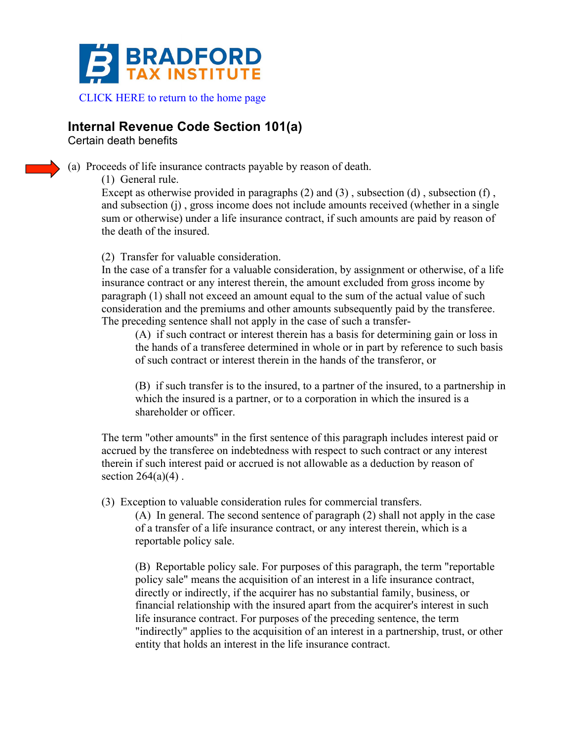

## **Internal Revenue Code Section 101(a)**

Certain death benefits

(a) Proceeds of life insurance contracts payable by reason of death.

(1) General rule.

Except as otherwise provided in paragraphs  $(2)$  and  $(3)$ , subsection  $(d)$ , subsection  $(f)$ , and subsection (j) , gross income does not include amounts received (whether in a single sum or otherwise) under a life insurance contract, if such amounts are paid by reason of the death of the insured.

(2) Transfer for valuable consideration.

In the case of a transfer for a valuable consideration, by assignment or otherwise, of a life insurance contract or any interest therein, the amount excluded from gross income by paragraph (1) shall not exceed an amount equal to the sum of the actual value of such consideration and the premiums and other amounts subsequently paid by the transferee. The preceding sentence shall not apply in the case of such a transfer-

(A) if such contract or interest therein has a basis for determining gain or loss in the hands of a transferee determined in whole or in part by reference to such basis of such contract or interest therein in the hands of the transferor, or

(B) if such transfer is to the insured, to a partner of the insured, to a partnership in which the insured is a partner, or to a corporation in which the insured is a shareholder or officer.

The term "other amounts" in the first sentence of this paragraph includes interest paid or accrued by the transferee on indebtedness with respect to such contract or any interest therein if such interest paid or accrued is not allowable as a deduction by reason of section  $264(a)(4)$ .

(3) Exception to valuable consideration rules for commercial transfers.

(A) In general. The second sentence of paragraph (2) shall not apply in the case of a transfer of a life insurance contract, or any interest therein, which is a reportable policy sale.

(B) Reportable policy sale. For purposes of this paragraph, the term "reportable policy sale" means the acquisition of an interest in a life insurance contract, directly or indirectly, if the acquirer has no substantial family, business, or financial relationship with the insured apart from the acquirer's interest in such life insurance contract. For purposes of the preceding sentence, the term "indirectly" applies to the acquisition of an interest in a partnership, trust, or other entity that holds an interest in the life insurance contract.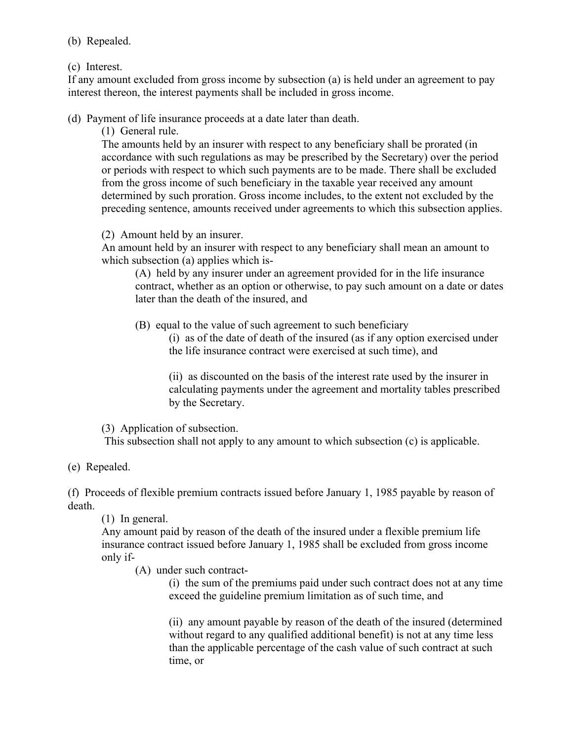(b) Repealed.

(c) Interest.

If any amount excluded from gross income by subsection (a) is held under an agreement to pay interest thereon, the interest payments shall be included in gross income.

(d) Payment of life insurance proceeds at a date later than death.

(1) General rule.

The amounts held by an insurer with respect to any beneficiary shall be prorated (in accordance with such regulations as may be prescribed by the Secretary) over the period or periods with respect to which such payments are to be made. There shall be excluded from the gross income of such beneficiary in the taxable year received any amount determined by such proration. Gross income includes, to the extent not excluded by the preceding sentence, amounts received under agreements to which this subsection applies.

(2) Amount held by an insurer.

An amount held by an insurer with respect to any beneficiary shall mean an amount to which subsection (a) applies which is-

(A) held by any insurer under an agreement provided for in the life insurance contract, whether as an option or otherwise, to pay such amount on a date or dates later than the death of the insured, and

(B) equal to the value of such agreement to such beneficiary

(i) as of the date of death of the insured (as if any option exercised under the life insurance contract were exercised at such time), and

(ii) as discounted on the basis of the interest rate used by the insurer in calculating payments under the agreement and mortality tables prescribed by the Secretary.

(3) Application of subsection.

This subsection shall not apply to any amount to which subsection (c) is applicable.

(e) Repealed.

(f) Proceeds of flexible premium contracts issued before January 1, 1985 payable by reason of death.

(1) In general.

Any amount paid by reason of the death of the insured under a flexible premium life insurance contract issued before January 1, 1985 shall be excluded from gross income only if-

(A) under such contract-

(i) the sum of the premiums paid under such contract does not at any time exceed the guideline premium limitation as of such time, and

(ii) any amount payable by reason of the death of the insured (determined without regard to any qualified additional benefit) is not at any time less than the applicable percentage of the cash value of such contract at such time, or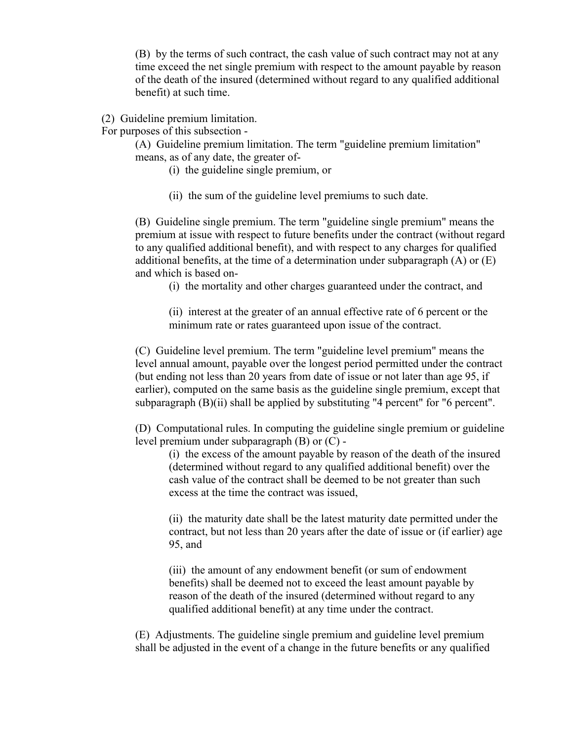(B) by the terms of such contract, the cash value of such contract may not at any time exceed the net single premium with respect to the amount payable by reason of the death of the insured (determined without regard to any qualified additional benefit) at such time.

(2) Guideline premium limitation.

For purposes of this subsection -

(A) Guideline premium limitation. The term "guideline premium limitation" means, as of any date, the greater of-

- (i) the guideline single premium, or
- (ii) the sum of the guideline level premiums to such date.

(B) Guideline single premium. The term "guideline single premium" means the premium at issue with respect to future benefits under the contract (without regard to any qualified additional benefit), and with respect to any charges for qualified additional benefits, at the time of a determination under subparagraph  $(A)$  or  $(E)$ and which is based on-

(i) the mortality and other charges guaranteed under the contract, and

(ii) interest at the greater of an annual effective rate of 6 percent or the minimum rate or rates guaranteed upon issue of the contract.

(C) Guideline level premium. The term "guideline level premium" means the level annual amount, payable over the longest period permitted under the contract (but ending not less than 20 years from date of issue or not later than age 95, if earlier), computed on the same basis as the guideline single premium, except that subparagraph  $(B)(ii)$  shall be applied by substituting "4 percent" for "6 percent".

(D) Computational rules. In computing the guideline single premium or guideline level premium under subparagraph (B) or (C) -

(i) the excess of the amount payable by reason of the death of the insured (determined without regard to any qualified additional benefit) over the cash value of the contract shall be deemed to be not greater than such excess at the time the contract was issued,

(ii) the maturity date shall be the latest maturity date permitted under the contract, but not less than 20 years after the date of issue or (if earlier) age 95, and

(iii) the amount of any endowment benefit (or sum of endowment benefits) shall be deemed not to exceed the least amount payable by reason of the death of the insured (determined without regard to any qualified additional benefit) at any time under the contract.

(E) Adjustments. The guideline single premium and guideline level premium shall be adjusted in the event of a change in the future benefits or any qualified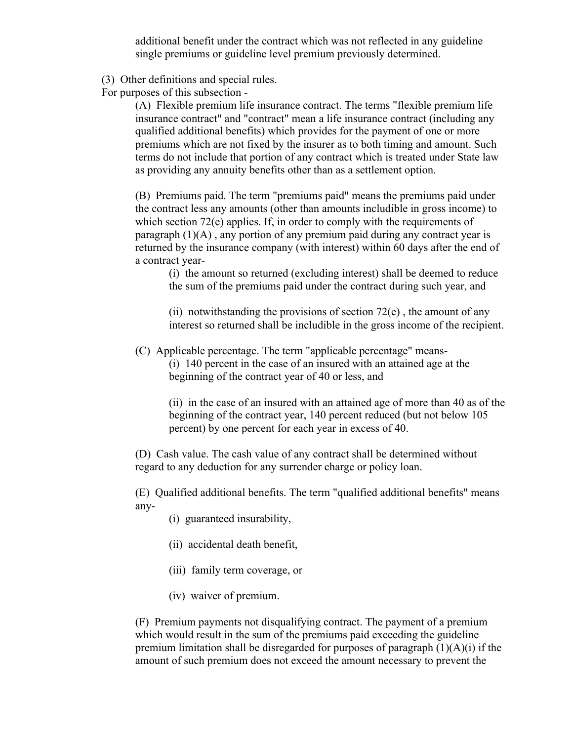additional benefit under the contract which was not reflected in any guideline single premiums or guideline level premium previously determined.

(3) Other definitions and special rules.

For purposes of this subsection -

(A) Flexible premium life insurance contract. The terms "flexible premium life insurance contract" and "contract" mean a life insurance contract (including any qualified additional benefits) which provides for the payment of one or more premiums which are not fixed by the insurer as to both timing and amount. Such terms do not include that portion of any contract which is treated under State law as providing any annuity benefits other than as a settlement option.

(B) Premiums paid. The term "premiums paid" means the premiums paid under the contract less any amounts (other than amounts includible in gross income) to which section 72(e) applies. If, in order to comply with the requirements of paragraph (1)(A) , any portion of any premium paid during any contract year is returned by the insurance company (with interest) within 60 days after the end of a contract year-

(i) the amount so returned (excluding interest) shall be deemed to reduce the sum of the premiums paid under the contract during such year, and

(ii) notwithstanding the provisions of section  $72(e)$ , the amount of any interest so returned shall be includible in the gross income of the recipient.

(C) Applicable percentage. The term "applicable percentage" means-

(i) 140 percent in the case of an insured with an attained age at the beginning of the contract year of 40 or less, and

(ii) in the case of an insured with an attained age of more than 40 as of the beginning of the contract year, 140 percent reduced (but not below 105 percent) by one percent for each year in excess of 40.

(D) Cash value. The cash value of any contract shall be determined without regard to any deduction for any surrender charge or policy loan.

(E) Qualified additional benefits. The term "qualified additional benefits" means any-

(i) guaranteed insurability,

- (ii) accidental death benefit,
- (iii) family term coverage, or
- (iv) waiver of premium.

(F) Premium payments not disqualifying contract. The payment of a premium which would result in the sum of the premiums paid exceeding the guideline premium limitation shall be disregarded for purposes of paragraph  $(1)(A)(i)$  if the amount of such premium does not exceed the amount necessary to prevent the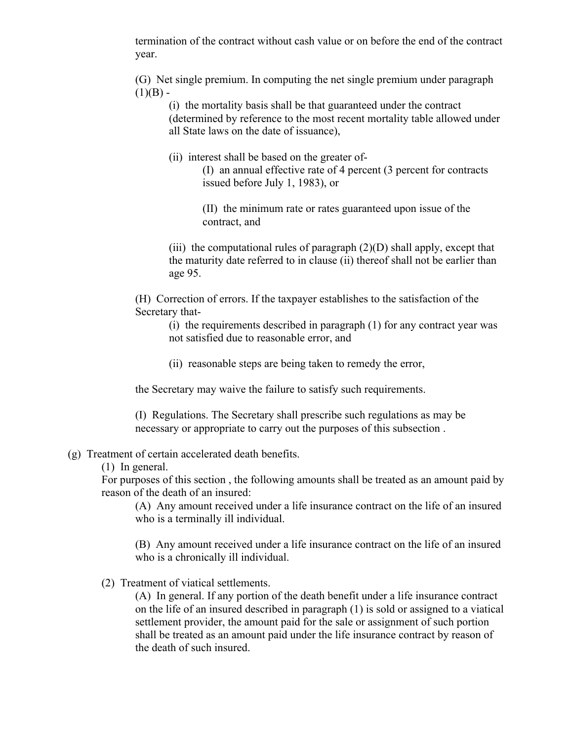termination of the contract without cash value or on before the end of the contract year.

(G) Net single premium. In computing the net single premium under paragraph  $(1)(B) -$ 

(i) the mortality basis shall be that guaranteed under the contract (determined by reference to the most recent mortality table allowed under all State laws on the date of issuance),

(ii) interest shall be based on the greater of-

(I) an annual effective rate of 4 percent (3 percent for contracts issued before July 1, 1983), or

(II) the minimum rate or rates guaranteed upon issue of the contract, and

(iii) the computational rules of paragraph  $(2)(D)$  shall apply, except that the maturity date referred to in clause (ii) thereof shall not be earlier than age 95.

(H) Correction of errors. If the taxpayer establishes to the satisfaction of the Secretary that-

(i) the requirements described in paragraph (1) for any contract year was not satisfied due to reasonable error, and

(ii) reasonable steps are being taken to remedy the error,

the Secretary may waive the failure to satisfy such requirements.

(I) Regulations. The Secretary shall prescribe such regulations as may be necessary or appropriate to carry out the purposes of this subsection .

## (g) Treatment of certain accelerated death benefits.

(1) In general.

For purposes of this section , the following amounts shall be treated as an amount paid by reason of the death of an insured:

(A) Any amount received under a life insurance contract on the life of an insured who is a terminally ill individual.

(B) Any amount received under a life insurance contract on the life of an insured who is a chronically ill individual.

(2) Treatment of viatical settlements.

(A) In general. If any portion of the death benefit under a life insurance contract on the life of an insured described in paragraph (1) is sold or assigned to a viatical settlement provider, the amount paid for the sale or assignment of such portion shall be treated as an amount paid under the life insurance contract by reason of the death of such insured.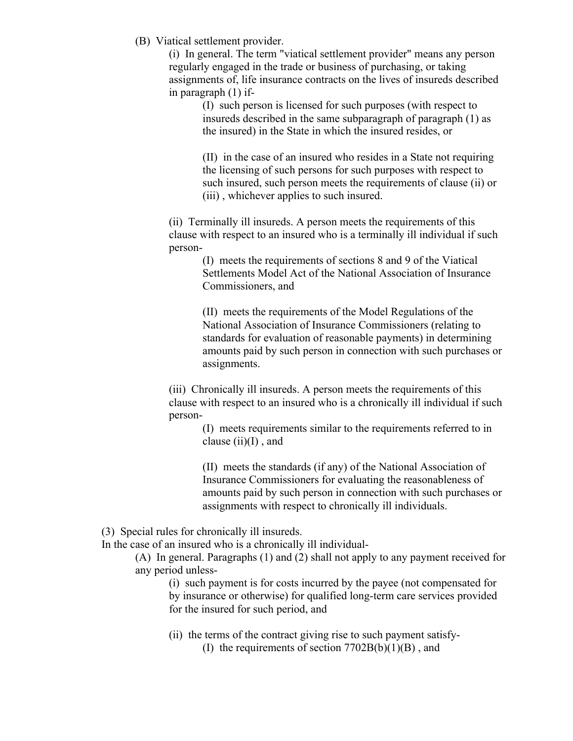(B) Viatical settlement provider.

(i) In general. The term "viatical settlement provider" means any person regularly engaged in the trade or business of purchasing, or taking assignments of, life insurance contracts on the lives of insureds described in paragraph (1) if-

(I) such person is licensed for such purposes (with respect to insureds described in the same subparagraph of paragraph (1) as the insured) in the State in which the insured resides, or

(II) in the case of an insured who resides in a State not requiring the licensing of such persons for such purposes with respect to such insured, such person meets the requirements of clause (ii) or (iii) , whichever applies to such insured.

(ii) Terminally ill insureds. A person meets the requirements of this clause with respect to an insured who is a terminally ill individual if such person-

> (I) meets the requirements of sections 8 and 9 of the Viatical Settlements Model Act of the National Association of Insurance Commissioners, and

(II) meets the requirements of the Model Regulations of the National Association of Insurance Commissioners (relating to standards for evaluation of reasonable payments) in determining amounts paid by such person in connection with such purchases or assignments.

(iii) Chronically ill insureds. A person meets the requirements of this clause with respect to an insured who is a chronically ill individual if such person-

(I) meets requirements similar to the requirements referred to in clause  $(ii)(I)$ , and

(II) meets the standards (if any) of the National Association of Insurance Commissioners for evaluating the reasonableness of amounts paid by such person in connection with such purchases or assignments with respect to chronically ill individuals.

(3) Special rules for chronically ill insureds.

In the case of an insured who is a chronically ill individual-

(A) In general. Paragraphs (1) and (2) shall not apply to any payment received for any period unless-

(i) such payment is for costs incurred by the payee (not compensated for by insurance or otherwise) for qualified long-term care services provided for the insured for such period, and

(ii) the terms of the contract giving rise to such payment satisfy- (I) the requirements of section  $7702B(b)(1)(B)$ , and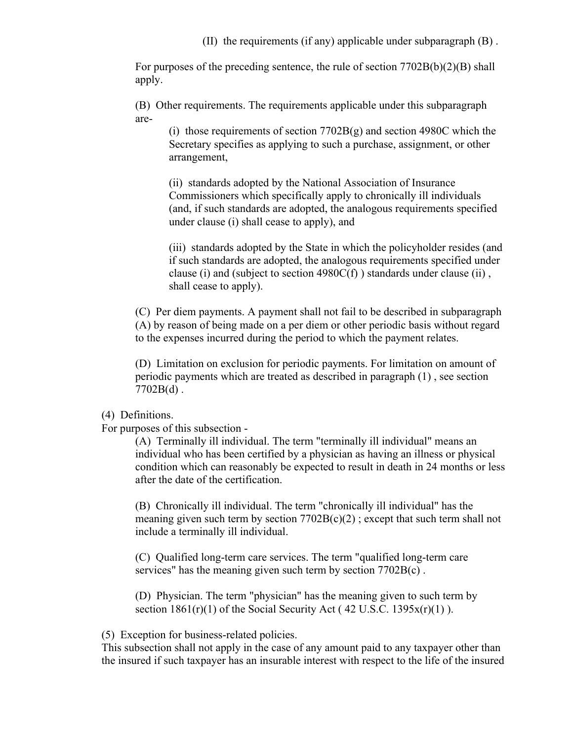(II) the requirements (if any) applicable under subparagraph (B) .

For purposes of the preceding sentence, the rule of section  $7702B(b)(2)(B)$  shall apply.

(B) Other requirements. The requirements applicable under this subparagraph are-

(i) those requirements of section  $7702B(g)$  and section 4980C which the Secretary specifies as applying to such a purchase, assignment, or other arrangement,

(ii) standards adopted by the National Association of Insurance Commissioners which specifically apply to chronically ill individuals (and, if such standards are adopted, the analogous requirements specified under clause (i) shall cease to apply), and

(iii) standards adopted by the State in which the policyholder resides (and if such standards are adopted, the analogous requirements specified under clause (i) and (subject to section  $4980C(f)$ ) standards under clause (ii), shall cease to apply).

(C) Per diem payments. A payment shall not fail to be described in subparagraph (A) by reason of being made on a per diem or other periodic basis without regard to the expenses incurred during the period to which the payment relates.

(D) Limitation on exclusion for periodic payments. For limitation on amount of periodic payments which are treated as described in paragraph (1) , see section  $7702B(d)$ .

## (4) Definitions.

For purposes of this subsection -

(A) Terminally ill individual. The term "terminally ill individual" means an individual who has been certified by a physician as having an illness or physical condition which can reasonably be expected to result in death in 24 months or less after the date of the certification.

(B) Chronically ill individual. The term "chronically ill individual" has the meaning given such term by section  $7702B(c)(2)$ ; except that such term shall not include a terminally ill individual.

(C) Qualified long-term care services. The term "qualified long-term care services" has the meaning given such term by section  $7702B(c)$ .

(D) Physician. The term "physician" has the meaning given to such term by section  $1861(r)(1)$  of the Social Security Act (42 U.S.C. 1395 $x(r)(1)$ ).

(5) Exception for business-related policies.

This subsection shall not apply in the case of any amount paid to any taxpayer other than the insured if such taxpayer has an insurable interest with respect to the life of the insured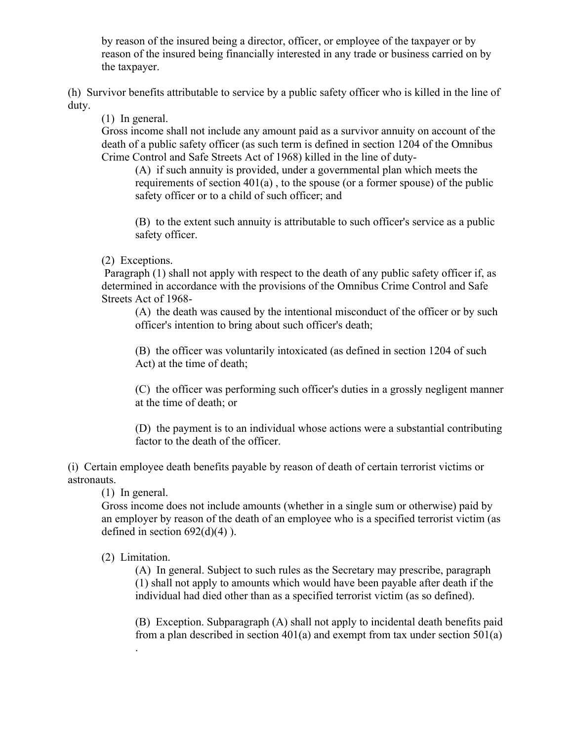by reason of the insured being a director, officer, or employee of the taxpayer or by reason of the insured being financially interested in any trade or business carried on by the taxpayer.

(h) Survivor benefits attributable to service by a public safety officer who is killed in the line of duty.

(1) In general.

Gross income shall not include any amount paid as a survivor annuity on account of the death of a public safety officer (as such term is defined in section 1204 of the Omnibus Crime Control and Safe Streets Act of 1968) killed in the line of duty-

(A) if such annuity is provided, under a governmental plan which meets the requirements of section  $401(a)$ , to the spouse (or a former spouse) of the public safety officer or to a child of such officer; and

(B) to the extent such annuity is attributable to such officer's service as a public safety officer.

(2) Exceptions.

Paragraph (1) shall not apply with respect to the death of any public safety officer if, as determined in accordance with the provisions of the Omnibus Crime Control and Safe Streets Act of 1968-

(A) the death was caused by the intentional misconduct of the officer or by such officer's intention to bring about such officer's death;

(B) the officer was voluntarily intoxicated (as defined in section 1204 of such Act) at the time of death;

(C) the officer was performing such officer's duties in a grossly negligent manner at the time of death; or

(D) the payment is to an individual whose actions were a substantial contributing factor to the death of the officer.

(i) Certain employee death benefits payable by reason of death of certain terrorist victims or astronauts.

(1) In general.

Gross income does not include amounts (whether in a single sum or otherwise) paid by an employer by reason of the death of an employee who is a specified terrorist victim (as defined in section  $692(d)(4)$ ).

(2) Limitation.

(A) In general. Subject to such rules as the Secretary may prescribe, paragraph (1) shall not apply to amounts which would have been payable after death if the individual had died other than as a specified terrorist victim (as so defined).

(B) Exception. Subparagraph (A) shall not apply to incidental death benefits paid from a plan described in section  $401(a)$  and exempt from tax under section  $501(a)$ .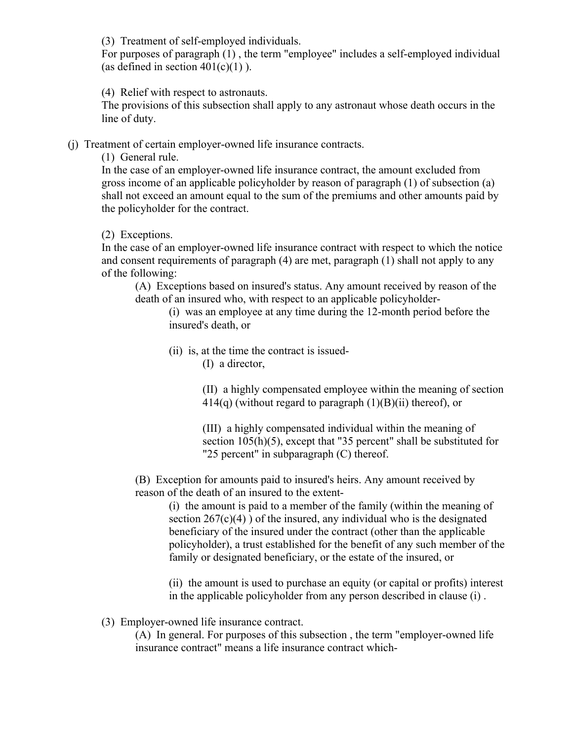(3) Treatment of self-employed individuals.

For purposes of paragraph (1) , the term "employee" includes a self-employed individual (as defined in section  $401(c)(1)$ ).

(4) Relief with respect to astronauts.

The provisions of this subsection shall apply to any astronaut whose death occurs in the line of duty.

(j) Treatment of certain employer-owned life insurance contracts.

(1) General rule.

In the case of an employer-owned life insurance contract, the amount excluded from gross income of an applicable policyholder by reason of paragraph (1) of subsection (a) shall not exceed an amount equal to the sum of the premiums and other amounts paid by the policyholder for the contract.

(2) Exceptions.

In the case of an employer-owned life insurance contract with respect to which the notice and consent requirements of paragraph (4) are met, paragraph (1) shall not apply to any of the following:

(A) Exceptions based on insured's status. Any amount received by reason of the death of an insured who, with respect to an applicable policyholder-

(i) was an employee at any time during the 12-month period before the insured's death, or

- (ii) is, at the time the contract is issued-
	- (I) a director,

(II) a highly compensated employee within the meaning of section  $414(q)$  (without regard to paragraph  $(1)(B)(ii)$  thereof), or

(III) a highly compensated individual within the meaning of section 105(h)(5), except that "35 percent" shall be substituted for "25 percent" in subparagraph (C) thereof.

(B) Exception for amounts paid to insured's heirs. Any amount received by reason of the death of an insured to the extent-

(i) the amount is paid to a member of the family (within the meaning of section  $267(c)(4)$ ) of the insured, any individual who is the designated beneficiary of the insured under the contract (other than the applicable policyholder), a trust established for the benefit of any such member of the family or designated beneficiary, or the estate of the insured, or

(ii) the amount is used to purchase an equity (or capital or profits) interest in the applicable policyholder from any person described in clause (i) .

(3) Employer-owned life insurance contract.

(A) In general. For purposes of this subsection , the term "employer-owned life insurance contract" means a life insurance contract which